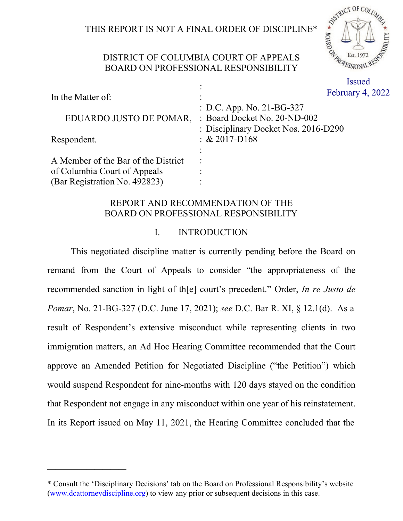# THIS REPORT IS NOT A FINAL ORDER OF DISCIPLINE\*



# DISTRICT OF COLUMBIA COURT OF APPEALS BOARD ON PROFESSIONAL RESPONSIBILITY

:

 $ary 4, 2022$ 

| In the Matter of:                   | <b>Februa</b>                                                                                     |
|-------------------------------------|---------------------------------------------------------------------------------------------------|
| EDUARDO JUSTO DE POMAR,             | : D.C. App. No. 21-BG-327<br>: Board Docket No. 20-ND-002<br>: Disciplinary Docket Nos. 2016-D290 |
| Respondent.                         | $\div \& 2017 - D168$                                                                             |
|                                     |                                                                                                   |
| A Member of the Bar of the District |                                                                                                   |
| of Columbia Court of Appeals        |                                                                                                   |
| (Bar Registration No. 492823)       |                                                                                                   |

# REPORT AND RECOMMENDATION OF THE BOARD ON PROFESSIONAL RESPONSIBILITY

# I. INTRODUCTION

This negotiated discipline matter is currently pending before the Board on remand from the Court of Appeals to consider "the appropriateness of the recommended sanction in light of th[e] court's precedent." Order, *In re Justo de Pomar*, No. 21-BG-327 (D.C. June 17, 2021); *see* D.C. Bar R. XI, § 12.1(d). As a result of Respondent's extensive misconduct while representing clients in two immigration matters, an Ad Hoc Hearing Committee recommended that the Court approve an Amended Petition for Negotiated Discipline ("the Petition") which would suspend Respondent for nine-months with 120 days stayed on the condition that Respondent not engage in any misconduct within one year of his reinstatement. In its Report issued on May 11, 2021, the Hearing Committee concluded that the

——————————

<sup>\*</sup> Consult the 'Disciplinary Decisions' tab on the Board on Professional Responsibility's website (www.dcattorneydiscipline.org) to view any prior or subsequent decisions in this case.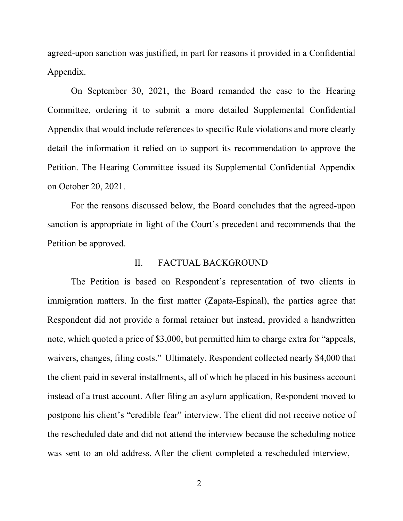agreed-upon sanction was justified, in part for reasons it provided in a Confidential Appendix.

On September 30, 2021, the Board remanded the case to the Hearing Committee, ordering it to submit a more detailed Supplemental Confidential Appendix that would include references to specific Rule violations and more clearly detail the information it relied on to support its recommendation to approve the Petition. The Hearing Committee issued its Supplemental Confidential Appendix on October 20, 2021.

For the reasons discussed below, the Board concludes that the agreed-upon sanction is appropriate in light of the Court's precedent and recommends that the Petition be approved.

## II. FACTUAL BACKGROUND

The Petition is based on Respondent's representation of two clients in immigration matters. In the first matter (Zapata-Espinal), the parties agree that Respondent did not provide a formal retainer but instead, provided a handwritten note, which quoted a price of \$3,000, but permitted him to charge extra for "appeals, waivers, changes, filing costs." Ultimately, Respondent collected nearly \$4,000 that the client paid in several installments, all of which he placed in his business account instead of a trust account. After filing an asylum application, Respondent moved to postpone his client's "credible fear" interview. The client did not receive notice of the rescheduled date and did not attend the interview because the scheduling notice was sent to an old address. After the client completed a rescheduled interview,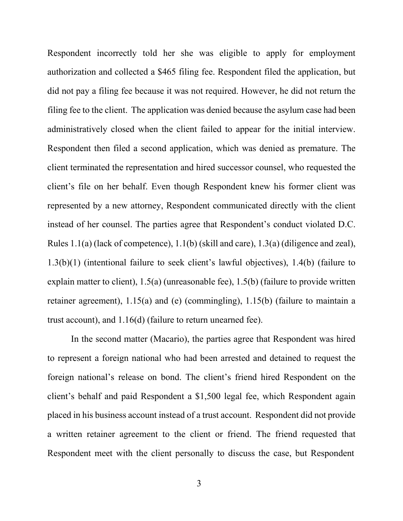Respondent incorrectly told her she was eligible to apply for employment authorization and collected a \$465 filing fee. Respondent filed the application, but did not pay a filing fee because it was not required. However, he did not return the filing fee to the client. The application was denied because the asylum case had been administratively closed when the client failed to appear for the initial interview. Respondent then filed a second application, which was denied as premature. The client terminated the representation and hired successor counsel, who requested the client's file on her behalf. Even though Respondent knew his former client was represented by a new attorney, Respondent communicated directly with the client instead of her counsel. The parties agree that Respondent's conduct violated D.C. Rules 1.1(a) (lack of competence), 1.1(b) (skill and care), 1.3(a) (diligence and zeal), 1.3(b)(1) (intentional failure to seek client's lawful objectives), 1.4(b) (failure to explain matter to client), 1.5(a) (unreasonable fee), 1.5(b) (failure to provide written retainer agreement), 1.15(a) and (e) (commingling), 1.15(b) (failure to maintain a trust account), and 1.16(d) (failure to return unearned fee).

In the second matter (Macario), the parties agree that Respondent was hired to represent a foreign national who had been arrested and detained to request the foreign national's release on bond. The client's friend hired Respondent on the client's behalf and paid Respondent a \$1,500 legal fee, which Respondent again placed in his business account instead of a trust account. Respondent did not provide a written retainer agreement to the client or friend. The friend requested that Respondent meet with the client personally to discuss the case, but Respondent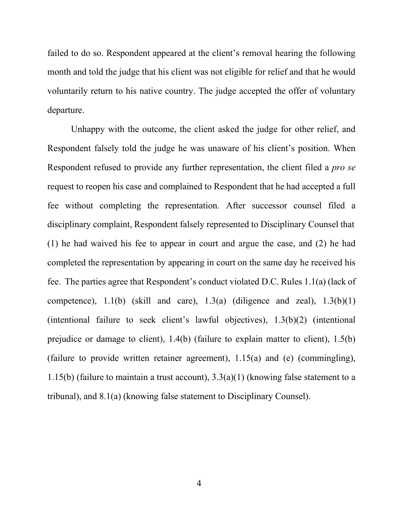failed to do so. Respondent appeared at the client's removal hearing the following month and told the judge that his client was not eligible for relief and that he would voluntarily return to his native country. The judge accepted the offer of voluntary departure.

Unhappy with the outcome, the client asked the judge for other relief, and Respondent falsely told the judge he was unaware of his client's position. When Respondent refused to provide any further representation, the client filed a *pro se* request to reopen his case and complained to Respondent that he had accepted a full fee without completing the representation. After successor counsel filed a disciplinary complaint, Respondent falsely represented to Disciplinary Counsel that (1) he had waived his fee to appear in court and argue the case, and (2) he had completed the representation by appearing in court on the same day he received his fee. The parties agree that Respondent's conduct violated D.C. Rules 1.1(a) (lack of competence),  $1.1(b)$  (skill and care),  $1.3(a)$  (diligence and zeal),  $1.3(b)(1)$ (intentional failure to seek client's lawful objectives), 1.3(b)(2) (intentional prejudice or damage to client), 1.4(b) (failure to explain matter to client), 1.5(b) (failure to provide written retainer agreement), 1.15(a) and (e) (commingling), 1.15(b) (failure to maintain a trust account),  $3.3(a)(1)$  (knowing false statement to a tribunal), and 8.1(a) (knowing false statement to Disciplinary Counsel).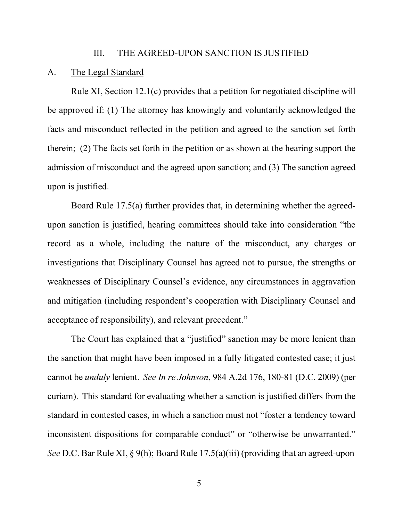### III. THE AGREED-UPON SANCTION IS JUSTIFIED

#### A. The Legal Standard

Rule XI, Section 12.1(c) provides that a petition for negotiated discipline will be approved if: (1) The attorney has knowingly and voluntarily acknowledged the facts and misconduct reflected in the petition and agreed to the sanction set forth therein; (2) The facts set forth in the petition or as shown at the hearing support the admission of misconduct and the agreed upon sanction; and (3) The sanction agreed upon is justified.

Board Rule 17.5(a) further provides that, in determining whether the agreedupon sanction is justified, hearing committees should take into consideration "the record as a whole, including the nature of the misconduct, any charges or investigations that Disciplinary Counsel has agreed not to pursue, the strengths or weaknesses of Disciplinary Counsel's evidence, any circumstances in aggravation and mitigation (including respondent's cooperation with Disciplinary Counsel and acceptance of responsibility), and relevant precedent."

The Court has explained that a "justified" sanction may be more lenient than the sanction that might have been imposed in a fully litigated contested case; it just cannot be *unduly* lenient. *See In re Johnson*, 984 A.2d 176, 180-81 (D.C. 2009) (per curiam). This standard for evaluating whether a sanction is justified differs from the standard in contested cases, in which a sanction must not "foster a tendency toward inconsistent dispositions for comparable conduct" or "otherwise be unwarranted." *See* D.C. Bar Rule XI, § 9(h); Board Rule 17.5(a)(iii) (providing that an agreed-upon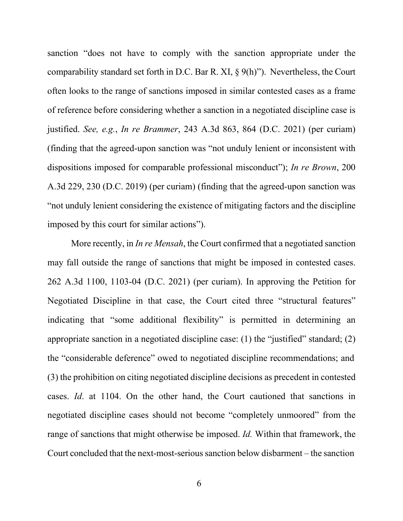sanction "does not have to comply with the sanction appropriate under the comparability standard set forth in D.C. Bar R. XI, § 9(h)"). Nevertheless, the Court often looks to the range of sanctions imposed in similar contested cases as a frame of reference before considering whether a sanction in a negotiated discipline case is justified. *See, e.g.*, *In re Brammer*, 243 A.3d 863, 864 (D.C. 2021) (per curiam) (finding that the agreed-upon sanction was "not unduly lenient or inconsistent with dispositions imposed for comparable professional misconduct"); *In re Brown*, 200 A.3d 229, 230 (D.C. 2019) (per curiam) (finding that the agreed-upon sanction was "not unduly lenient considering the existence of mitigating factors and the discipline imposed by this court for similar actions").

More recently, in *In re Mensah*, the Court confirmed that a negotiated sanction may fall outside the range of sanctions that might be imposed in contested cases. 262 A.3d 1100, 1103-04 (D.C. 2021) (per curiam). In approving the Petition for Negotiated Discipline in that case, the Court cited three "structural features" indicating that "some additional flexibility" is permitted in determining an appropriate sanction in a negotiated discipline case: (1) the "justified" standard; (2) the "considerable deference" owed to negotiated discipline recommendations; and (3) the prohibition on citing negotiated discipline decisions as precedent in contested cases. *Id*. at 1104. On the other hand, the Court cautioned that sanctions in negotiated discipline cases should not become "completely unmoored" from the range of sanctions that might otherwise be imposed. *Id.* Within that framework, the Court concluded that the next-most-serioussanction below disbarment – the sanction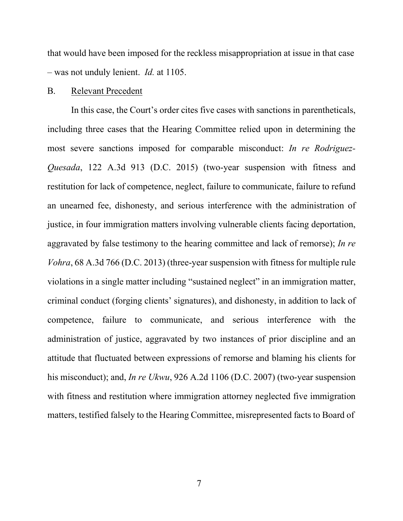that would have been imposed for the reckless misappropriation at issue in that case – was not unduly lenient. *Id.* at 1105.

### B. Relevant Precedent

In this case, the Court's order cites five cases with sanctions in parentheticals, including three cases that the Hearing Committee relied upon in determining the most severe sanctions imposed for comparable misconduct: *In re Rodriguez-Quesada*, 122 A.3d 913 (D.C. 2015) (two-year suspension with fitness and restitution for lack of competence, neglect, failure to communicate, failure to refund an unearned fee, dishonesty, and serious interference with the administration of justice, in four immigration matters involving vulnerable clients facing deportation, aggravated by false testimony to the hearing committee and lack of remorse); *In re Vohra*, 68 A.3d 766 (D.C. 2013) (three-year suspension with fitness for multiple rule violations in a single matter including "sustained neglect" in an immigration matter, criminal conduct (forging clients' signatures), and dishonesty, in addition to lack of competence, failure to communicate, and serious interference with the administration of justice, aggravated by two instances of prior discipline and an attitude that fluctuated between expressions of remorse and blaming his clients for his misconduct); and, *In re Ukwu*, 926 A.2d 1106 (D.C. 2007) (two-year suspension with fitness and restitution where immigration attorney neglected five immigration matters, testified falsely to the Hearing Committee, misrepresented facts to Board of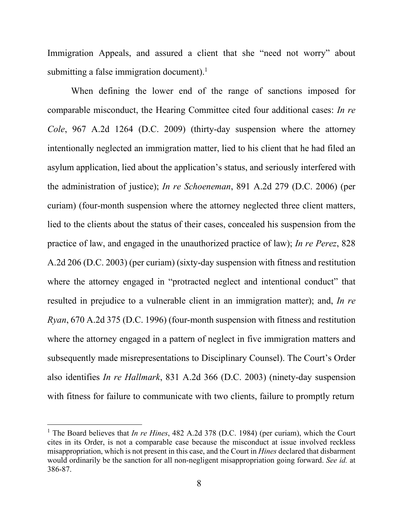Immigration Appeals, and assured a client that she "need not worry" about submitting a false immigration document).<sup>1</sup>

When defining the lower end of the range of sanctions imposed for comparable misconduct, the Hearing Committee cited four additional cases: *In re Cole*, 967 A.2d 1264 (D.C. 2009) (thirty-day suspension where the attorney intentionally neglected an immigration matter, lied to his client that he had filed an asylum application, lied about the application's status, and seriously interfered with the administration of justice); *In re Schoeneman*, 891 A.2d 279 (D.C. 2006) (per curiam) (four-month suspension where the attorney neglected three client matters, lied to the clients about the status of their cases, concealed his suspension from the practice of law, and engaged in the unauthorized practice of law); *In re Perez*, 828 A.2d 206 (D.C. 2003) (per curiam) (sixty-day suspension with fitness and restitution where the attorney engaged in "protracted neglect and intentional conduct" that resulted in prejudice to a vulnerable client in an immigration matter); and, *In re Ryan*, 670 A.2d 375 (D.C. 1996) (four-month suspension with fitness and restitution where the attorney engaged in a pattern of neglect in five immigration matters and subsequently made misrepresentations to Disciplinary Counsel). The Court's Order also identifies *In re Hallmark*, 831 A.2d 366 (D.C. 2003) (ninety-day suspension with fitness for failure to communicate with two clients, failure to promptly return

<sup>1</sup> The Board believes that *In re Hines*, 482 A.2d 378 (D.C. 1984) (per curiam), which the Court cites in its Order, is not a comparable case because the misconduct at issue involved reckless misappropriation, which is not present in this case, and the Court in *Hines* declared that disbarment would ordinarily be the sanction for all non-negligent misappropriation going forward. *See id.* at 386-87.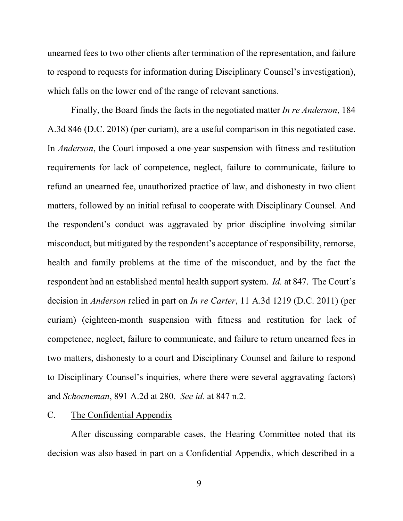unearned fees to two other clients after termination of the representation, and failure to respond to requests for information during Disciplinary Counsel's investigation), which falls on the lower end of the range of relevant sanctions.

Finally, the Board finds the facts in the negotiated matter *In re Anderson*, 184 A.3d 846 (D.C. 2018) (per curiam), are a useful comparison in this negotiated case. In *Anderson*, the Court imposed a one-year suspension with fitness and restitution requirements for lack of competence, neglect, failure to communicate, failure to refund an unearned fee, unauthorized practice of law, and dishonesty in two client matters, followed by an initial refusal to cooperate with Disciplinary Counsel. And the respondent's conduct was aggravated by prior discipline involving similar misconduct, but mitigated by the respondent's acceptance of responsibility, remorse, health and family problems at the time of the misconduct, and by the fact the respondent had an established mental health support system. *Id.* at 847. The Court's decision in *Anderson* relied in part on *In re Carter*, 11 A.3d 1219 (D.C. 2011) (per curiam) (eighteen-month suspension with fitness and restitution for lack of competence, neglect, failure to communicate, and failure to return unearned fees in two matters, dishonesty to a court and Disciplinary Counsel and failure to respond to Disciplinary Counsel's inquiries, where there were several aggravating factors) and *Schoeneman*, 891 A.2d at 280. *See id.* at 847 n.2.

## C. The Confidential Appendix

After discussing comparable cases, the Hearing Committee noted that its decision was also based in part on a Confidential Appendix, which described in a

9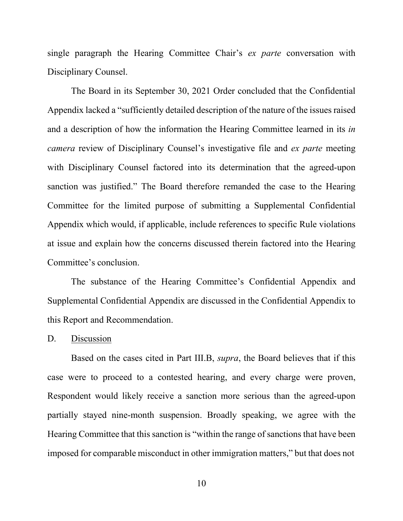single paragraph the Hearing Committee Chair's *ex parte* conversation with Disciplinary Counsel.

The Board in its September 30, 2021 Order concluded that the Confidential Appendix lacked a "sufficiently detailed description of the nature of the issues raised and a description of how the information the Hearing Committee learned in its *in camera* review of Disciplinary Counsel's investigative file and *ex parte* meeting with Disciplinary Counsel factored into its determination that the agreed-upon sanction was justified." The Board therefore remanded the case to the Hearing Committee for the limited purpose of submitting a Supplemental Confidential Appendix which would, if applicable, include references to specific Rule violations at issue and explain how the concerns discussed therein factored into the Hearing Committee's conclusion.

The substance of the Hearing Committee's Confidential Appendix and Supplemental Confidential Appendix are discussed in the Confidential Appendix to this Report and Recommendation.

### D. Discussion

Based on the cases cited in Part III.B, *supra*, the Board believes that if this case were to proceed to a contested hearing, and every charge were proven, Respondent would likely receive a sanction more serious than the agreed-upon partially stayed nine-month suspension. Broadly speaking, we agree with the Hearing Committee that this sanction is "within the range of sanctions that have been imposed for comparable misconduct in other immigration matters," but that does not

10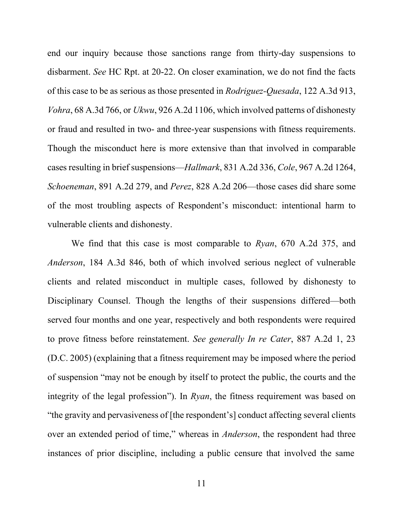end our inquiry because those sanctions range from thirty-day suspensions to disbarment. *See* HC Rpt. at 20-22. On closer examination, we do not find the facts of this case to be as serious as those presented in *Rodriguez-Quesada*, 122 A.3d 913, *Vohra*, 68 A.3d 766, or *Ukwu*, 926 A.2d 1106, which involved patterns of dishonesty or fraud and resulted in two- and three-year suspensions with fitness requirements. Though the misconduct here is more extensive than that involved in comparable cases resulting in brief suspensions—*Hallmark*, 831 A.2d 336, *Cole*, 967 A.2d 1264, *Schoeneman*, 891 A.2d 279, and *Perez*, 828 A.2d 206—those cases did share some of the most troubling aspects of Respondent's misconduct: intentional harm to vulnerable clients and dishonesty.

We find that this case is most comparable to *Ryan*, 670 A.2d 375, and *Anderson*, 184 A.3d 846, both of which involved serious neglect of vulnerable clients and related misconduct in multiple cases, followed by dishonesty to Disciplinary Counsel. Though the lengths of their suspensions differed—both served four months and one year, respectively and both respondents were required to prove fitness before reinstatement. *See generally In re Cater*, 887 A.2d 1, 23 (D.C. 2005) (explaining that a fitness requirement may be imposed where the period of suspension "may not be enough by itself to protect the public, the courts and the integrity of the legal profession"). In *Ryan*, the fitness requirement was based on "the gravity and pervasiveness of [the respondent's] conduct affecting several clients over an extended period of time," whereas in *Anderson*, the respondent had three instances of prior discipline, including a public censure that involved the same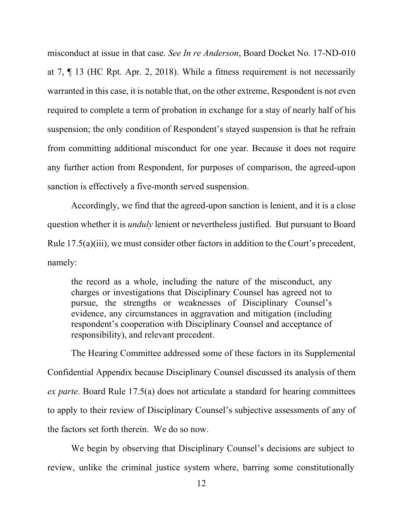misconduct at issue in that case. *See In re Anderson*, Board Docket No. 17-ND-010 at 7, ¶ 13 (HC Rpt. Apr. 2, 2018). While a fitness requirement is not necessarily warranted in this case, it is notable that, on the other extreme, Respondent is not even required to complete a term of probation in exchange for a stay of nearly half of his suspension; the only condition of Respondent's stayed suspension is that he refrain from committing additional misconduct for one year. Because it does not require any further action from Respondent, for purposes of comparison, the agreed-upon sanction is effectively a five-month served suspension.

Accordingly, we find that the agreed-upon sanction is lenient, and it is a close question whether it is *unduly* lenient or nevertheless justified. But pursuant to Board Rule 17.5(a)(iii), we must consider other factors in addition to the Court's precedent, namely:

the record as a whole, including the nature of the misconduct, any charges or investigations that Disciplinary Counsel has agreed not to pursue, the strengths or weaknesses of Disciplinary Counsel's evidence, any circumstances in aggravation and mitigation (including respondent's cooperation with Disciplinary Counsel and acceptance of responsibility), and relevant precedent.

The Hearing Committee addressed some of these factors in its Supplemental Confidential Appendix because Disciplinary Counsel discussed its analysis of them *ex parte*. Board Rule 17.5(a) does not articulate a standard for hearing committees to apply to their review of Disciplinary Counsel's subjective assessments of any of the factors set forth therein. We do so now.

We begin by observing that Disciplinary Counsel's decisions are subject to review, unlike the criminal justice system where, barring some constitutionally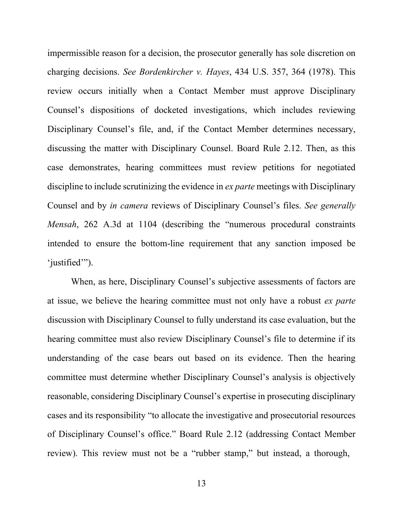impermissible reason for a decision, the prosecutor generally has sole discretion on charging decisions. *See Bordenkircher v. Hayes*, 434 U.S. 357, 364 (1978). This review occurs initially when a Contact Member must approve Disciplinary Counsel's dispositions of docketed investigations, which includes reviewing Disciplinary Counsel's file, and, if the Contact Member determines necessary, discussing the matter with Disciplinary Counsel. Board Rule 2.12. Then, as this case demonstrates, hearing committees must review petitions for negotiated discipline to include scrutinizing the evidence in *ex parte* meetings with Disciplinary Counsel and by *in camera* reviews of Disciplinary Counsel's files. *See generally Mensah*, 262 A.3d at 1104 (describing the "numerous procedural constraints intended to ensure the bottom-line requirement that any sanction imposed be 'justified'").

When, as here, Disciplinary Counsel's subjective assessments of factors are at issue, we believe the hearing committee must not only have a robust *ex parte* discussion with Disciplinary Counsel to fully understand its case evaluation, but the hearing committee must also review Disciplinary Counsel's file to determine if its understanding of the case bears out based on its evidence. Then the hearing committee must determine whether Disciplinary Counsel's analysis is objectively reasonable, considering Disciplinary Counsel's expertise in prosecuting disciplinary cases and its responsibility "to allocate the investigative and prosecutorial resources of Disciplinary Counsel's office." Board Rule 2.12 (addressing Contact Member review). This review must not be a "rubber stamp," but instead, a thorough,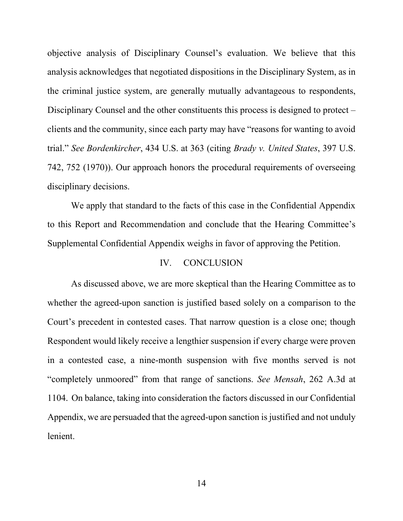objective analysis of Disciplinary Counsel's evaluation. We believe that this analysis acknowledges that negotiated dispositions in the Disciplinary System, as in the criminal justice system, are generally mutually advantageous to respondents, Disciplinary Counsel and the other constituents this process is designed to protect – clients and the community, since each party may have "reasons for wanting to avoid trial." *See Bordenkircher*, 434 U.S. at 363 (citing *Brady v. United States*, 397 U.S. 742, 752 (1970)). Our approach honors the procedural requirements of overseeing disciplinary decisions.

We apply that standard to the facts of this case in the Confidential Appendix to this Report and Recommendation and conclude that the Hearing Committee's Supplemental Confidential Appendix weighs in favor of approving the Petition.

#### IV. CONCLUSION

As discussed above, we are more skeptical than the Hearing Committee as to whether the agreed-upon sanction is justified based solely on a comparison to the Court's precedent in contested cases. That narrow question is a close one; though Respondent would likely receive a lengthier suspension if every charge were proven in a contested case, a nine-month suspension with five months served is not "completely unmoored" from that range of sanctions. *See Mensah*, 262 A.3d at 1104. On balance, taking into consideration the factors discussed in our Confidential Appendix, we are persuaded that the agreed-upon sanction is justified and not unduly lenient.